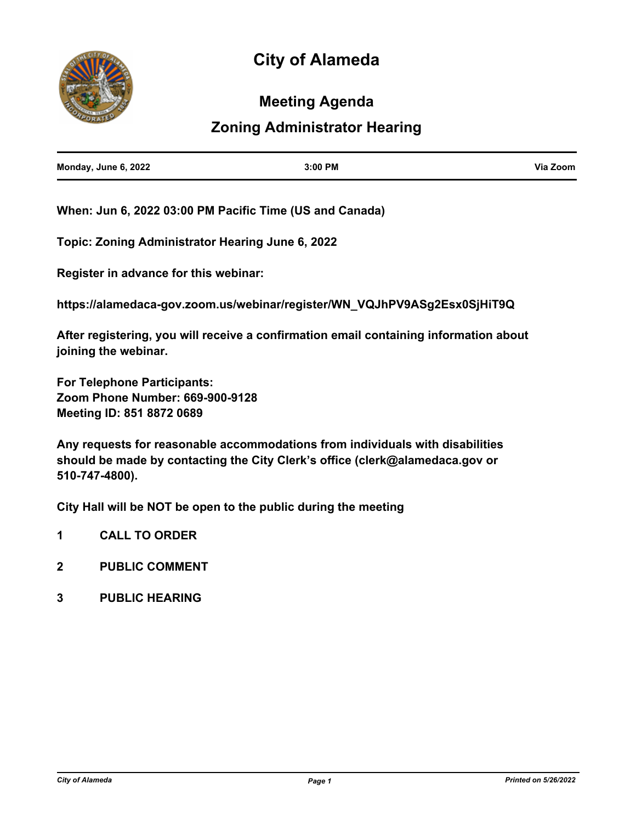# **City of Alameda**



### **Meeting Agenda**

## **Zoning Administrator Hearing**

| Monday, June 6, 2022 | 3:00 PM | Via Zoom |
|----------------------|---------|----------|
|                      |         |          |

**When: Jun 6, 2022 03:00 PM Pacific Time (US and Canada)** 

**Topic: Zoning Administrator Hearing June 6, 2022**

**Register in advance for this webinar:**

**https://alamedaca-gov.zoom.us/webinar/register/WN\_VQJhPV9ASg2Esx0SjHiT9Q**

**After registering, you will receive a confirmation email containing information about joining the webinar.**

**For Telephone Participants: Zoom Phone Number: 669-900-9128 Meeting ID: 851 8872 0689**

**Any requests for reasonable accommodations from individuals with disabilities should be made by contacting the City Clerk's office (clerk@alamedaca.gov or 510-747-4800).**

**City Hall will be NOT be open to the public during the meeting**

- **1 CALL TO ORDER**
- **2 PUBLIC COMMENT**
- **3 PUBLIC HEARING**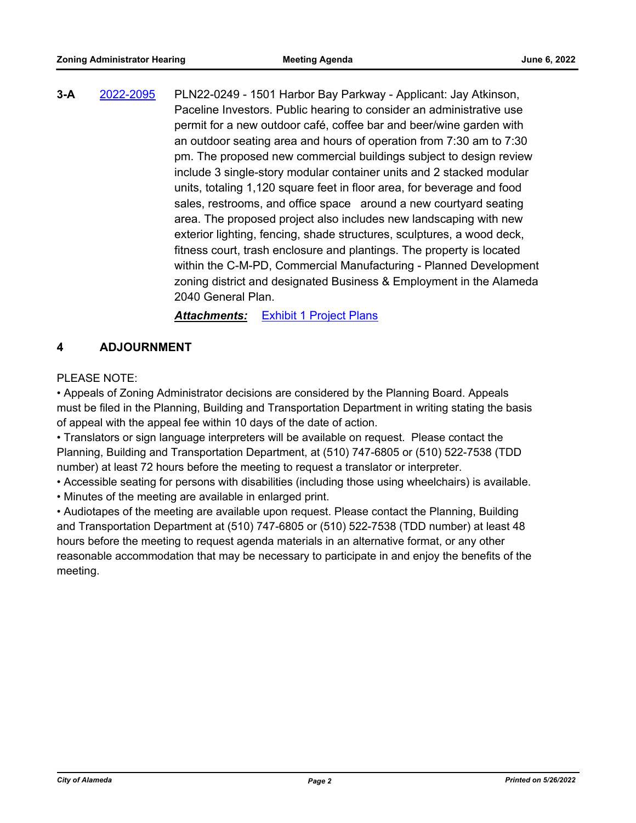**3-A** [2022-2095](http://alameda.legistar.com/gateway.aspx?m=l&id=/matter.aspx?key=11872) PLN22-0249 - 1501 Harbor Bay Parkway - Applicant: Jay Atkinson, Paceline Investors. Public hearing to consider an administrative use permit for a new outdoor café, coffee bar and beer/wine garden with an outdoor seating area and hours of operation from 7:30 am to 7:30 pm. The proposed new commercial buildings subject to design review include 3 single-story modular container units and 2 stacked modular units, totaling 1,120 square feet in floor area, for beverage and food sales, restrooms, and office space around a new courtyard seating area. The proposed project also includes new landscaping with new exterior lighting, fencing, shade structures, sculptures, a wood deck, fitness court, trash enclosure and plantings. The property is located within the C-M-PD, Commercial Manufacturing - Planned Development zoning district and designated Business & Employment in the Alameda 2040 General Plan.

*Attachments:* [Exhibit 1 Project Plans](http://alameda.legistar.com/gateway.aspx?M=F&ID=24eb9ac6-2f4a-4307-9c7c-e3ddd0facf77.pdf)

### **4 ADJOURNMENT**

#### PLEASE NOTE:

• Appeals of Zoning Administrator decisions are considered by the Planning Board. Appeals must be filed in the Planning, Building and Transportation Department in writing stating the basis of appeal with the appeal fee within 10 days of the date of action.

• Translators or sign language interpreters will be available on request. Please contact the Planning, Building and Transportation Department, at (510) 747-6805 or (510) 522-7538 (TDD number) at least 72 hours before the meeting to request a translator or interpreter.

- Accessible seating for persons with disabilities (including those using wheelchairs) is available.
- Minutes of the meeting are available in enlarged print.

• Audiotapes of the meeting are available upon request. Please contact the Planning, Building and Transportation Department at (510) 747-6805 or (510) 522-7538 (TDD number) at least 48 hours before the meeting to request agenda materials in an alternative format, or any other reasonable accommodation that may be necessary to participate in and enjoy the benefits of the meeting.